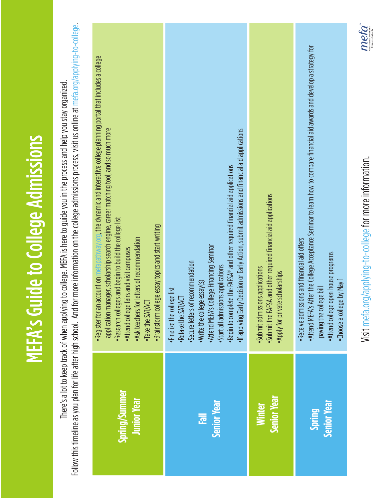| I |
|---|
|   |
|   |
|   |
|   |
|   |
|   |
|   |
|   |
|   |
|   |
|   |
|   |
|   |
|   |
|   |
|   |
|   |
|   |
|   |
|   |
|   |
| İ |
|   |
|   |
|   |
| I |
|   |
|   |
| l |
|   |
|   |
| l |
|   |
|   |
|   |
|   |
|   |
|   |

Follow this timeline as you plan for life after high school. And for more information on the college admissions process, visit us online at mefa.org/applying-to-college Follow this timeline as you plan for life after high school. And for more information on the college admissions process, visit us online at mefa.org/applying-to-college. There's a lot to keep track of when applying to college. MEFA is here to guide you in the process and help you stay organized. There's a lot to keep track of when applying to college. MEFA is here to guide you in the process and help you stay organized.

| account on mefapathway.org, the dynamic and interactive college planning portal that includes a college<br>application manager, scholarship search engine, career matching tool, and so much more<br>Research colleges and begin to build the college list<br>Brainstorm college essay topics and start writing<br>. Ask teachers for letters of recommendation<br>Attend college fairs and visit campuses<br>Take the SAT/ACT<br>·Register for an | If applying Early Decision or Early Action, submit admissions and financial aid applications<br>Begin to complete the FAFSA® and other required financial aid applications<br>Attend MEFA's College Financing Seminar<br>Secure letters of recommendation<br>Start all admissions applications<br>· Write the college essay(s)<br>· Finalize the college list<br>·Retake the SAT/ACT | Submit the FAFSA and other required financial aid applications<br>Submit admissions applications<br>. Apply for private scholarships | . Attend MEFA's After the College Acceptance Seminar to learn how to compare financial aid awards and develop a strategy for<br>·Receive admissions and financial aid offers<br>. Attend college open house programs<br>Choose a college by May<br>paying the college bill |
|----------------------------------------------------------------------------------------------------------------------------------------------------------------------------------------------------------------------------------------------------------------------------------------------------------------------------------------------------------------------------------------------------------------------------------------------------|--------------------------------------------------------------------------------------------------------------------------------------------------------------------------------------------------------------------------------------------------------------------------------------------------------------------------------------------------------------------------------------|--------------------------------------------------------------------------------------------------------------------------------------|----------------------------------------------------------------------------------------------------------------------------------------------------------------------------------------------------------------------------------------------------------------------------|
| Spring/Summer                                                                                                                                                                                                                                                                                                                                                                                                                                      | <b>Senior Year</b>                                                                                                                                                                                                                                                                                                                                                                   | <b>Senior Year</b>                                                                                                                   | <b>Senior Year</b>                                                                                                                                                                                                                                                         |
| <b>Junior Year</b>                                                                                                                                                                                                                                                                                                                                                                                                                                 | $\bar{e}$                                                                                                                                                                                                                                                                                                                                                                            | <b>Winter</b>                                                                                                                        | Spring                                                                                                                                                                                                                                                                     |